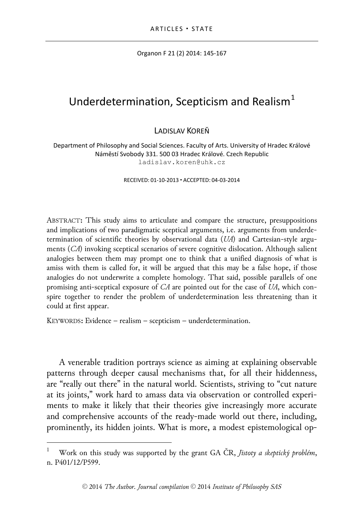Organon F 21 (2) 2014: 145-167

# Underdetermination, Scepticism and Realism $<sup>1</sup>$  $<sup>1</sup>$  $<sup>1</sup>$ </sup>

LADISLAV KOREŇ

Department of Philosophy and Social Sciences. Faculty of Arts. University of Hradec Králové Náměstí Svobody 331. 500 03 Hradec Králové. Czech Republic ladislav.koren@uhk.cz

RECEIVED: 01-10-2013 ACCEPTED: 04-03-2014

ABSTRACT**:** This study aims to articulate and compare the structure, presuppositions and implications of two paradigmatic sceptical arguments, i.e. arguments from underdetermination of scientific theories by observational data (*UA*) and Cartesian-style arguments (*CA*) invoking sceptical scenarios of severe cognitive dislocation. Although salient analogies between them may prompt one to think that a unified diagnosis of what is amiss with them is called for, it will be argued that this may be a false hope, if those analogies do not underwrite a complete homology. That said, possible parallels of one promising anti-sceptical exposure of *CA* are pointed out for the case of *UA*, which conspire together to render the problem of underdetermination less threatening than it could at first appear.

KEYWORDS**:** Evidence – realism – scepticism – underdetermination.

A venerable tradition portrays science as aiming at explaining observable patterns through deeper causal mechanisms that, for all their hiddenness, are "really out there" in the natural world. Scientists, striving to "cut nature at its joints," work hard to amass data via observation or controlled experiments to make it likely that their theories give increasingly more accurate and comprehensive accounts of the ready-made world out there, including, prominently, its hidden joints. What is more, a modest epistemological op-

<span id="page-0-0"></span> <sup>1</sup> Work on this study was supported by the grant GA ČR, *Jistoty a skeptický problém*, n. P401/12/P599.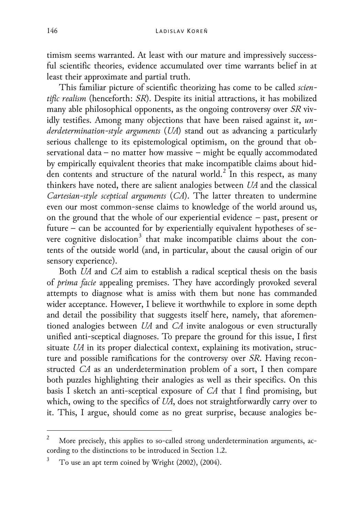timism seems warranted. At least with our mature and impressively successful scientific theories, evidence accumulated over time warrants belief in at least their approximate and partial truth.

This familiar picture of scientific theorizing has come to be called *scientific realism* (henceforth: *SR*). Despite its initial attractions, it has mobilized many able philosophical opponents, as the ongoing controversy over *SR* vividly testifies. Among many objections that have been raised against it, *underdetermination-style arguments* (*UA*) stand out as advancing a particularly serious challenge to its epistemological optimism, on the ground that observational data − no matter how massive − might be equally accommodated by empirically equivalent theories that make incompatible claims about hid-den contents and structure of the natural world.<sup>[2](#page-1-0)</sup> In this respect, as many thinkers have noted, there are salient analogies between *UA* and the classical *Cartesian-style sceptical arguments* (*CA*). The latter threaten to undermine even our most common-sense claims to knowledge of the world around us, on the ground that the whole of our experiential evidence − past, present or future − can be accounted for by experientially equivalent hypotheses of se-vere cognitive dislocation<sup>[3](#page-1-1)</sup> that make incompatible claims about the contents of the outside world (and, in particular, about the causal origin of our sensory experience).

Both *UA* and *CA* aim to establish a radical sceptical thesis on the basis of *prima facie* appealing premises. They have accordingly provoked several attempts to diagnose what is amiss with them but none has commanded wider acceptance. However, I believe it worthwhile to explore in some depth and detail the possibility that suggests itself here, namely, that aforementioned analogies between *UA* and *CA* invite analogous or even structurally unified anti-sceptical diagnoses. To prepare the ground for this issue, I first situate *UA* in its proper dialectical context, explaining its motivation, structure and possible ramifications for the controversy over *SR*. Having reconstructed *CA* as an underdetermination problem of a sort, I then compare both puzzles highlighting their analogies as well as their specifics. On this basis I sketch an anti-sceptical exposure of *CA* that I find promising, but which, owing to the specifics of *UA*, does not straightforwardly carry over to it. This, I argue, should come as no great surprise, because analogies be-

<span id="page-1-0"></span>More precisely, this applies to so-called strong underdetermination arguments, according to the distinctions to be introduced in Section 1.2.

<span id="page-1-1"></span><sup>3</sup> To use an apt term coined by Wright (2002), (2004).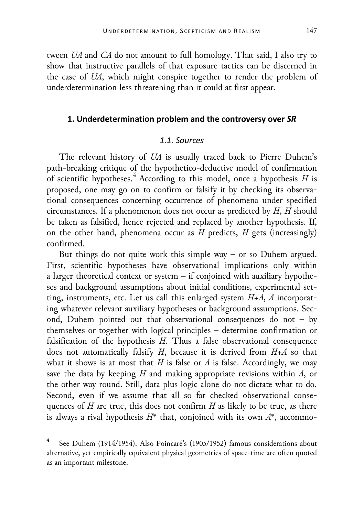tween *UA* and *CA* do not amount to full homology. That said, I also try to show that instructive parallels of that exposure tactics can be discerned in the case of *UA*, which might conspire together to render the problem of underdetermination less threatening than it could at first appear.

## **1. Underdetermination problem and the controversy over** *SR*

# *1.1. Sources*

The relevant history of *UA* is usually traced back to Pierre Duhem's path-breaking critique of the hypothetico-deductive model of confirmation of scientific hypotheses.[4](#page-2-0) According to this model, once a hypothesis *H* is proposed, one may go on to confirm or falsify it by checking its observational consequences concerning occurrence of phenomena under specified circumstances. If a phenomenon does not occur as predicted by *H*, *H* should be taken as falsified, hence rejected and replaced by another hypothesis. If, on the other hand, phenomena occur as *H* predicts, *H* gets (increasingly) confirmed.

But things do not quite work this simple way – or so Duhem argued. First, scientific hypotheses have observational implications only within a larger theoretical context or system – if conjoined with auxiliary hypotheses and background assumptions about initial conditions, experimental setting, instruments, etc. Let us call this enlarged system *H+A*, *A* incorporating whatever relevant auxiliary hypotheses or background assumptions. Second, Duhem pointed out that observational consequences do not – by themselves or together with logical principles – determine confirmation or falsification of the hypothesis *H*. Thus a false observational consequence does not automatically falsify *H*, because it is derived from *H+A* so that what it shows is at most that  $H$  is false or  $A$  is false. Accordingly, we may save the data by keeping *H* and making appropriate revisions within *A*, or the other way round. Still, data plus logic alone do not dictate what to do. Second, even if we assume that all so far checked observational consequences of *H* are true, this does not confirm *H* as likely to be true, as there is always a rival hypothesis *H\** that, conjoined with its own *A\**, accommo-

<span id="page-2-0"></span>See Duhem (1914/1954). Also Poincaré's (1905/1952) famous considerations about alternative, yet empirically equivalent physical geometries of space-time are often quoted as an important milestone.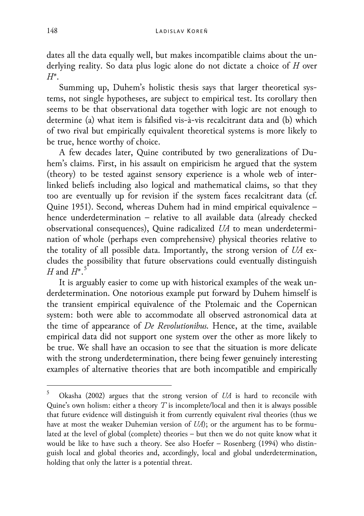dates all the data equally well, but makes incompatible claims about the underlying reality. So data plus logic alone do not dictate a choice of *H* over *H\*.*

Summing up, Duhem's holistic thesis says that larger theoretical systems, not single hypotheses, are subject to empirical test. Its corollary then seems to be that observational data together with logic are not enough to determine (a) what item is falsified vis-à-vis recalcitrant data and (b) which of two rival but empirically equivalent theoretical systems is more likely to be true, hence worthy of choice.

A few decades later, Quine contributed by two generalizations of Duhem's claims. First, in his assault on empiricism he argued that the system (theory) to be tested against sensory experience is a whole web of interlinked beliefs including also logical and mathematical claims, so that they too are eventually up for revision if the system faces recalcitrant data (cf. Quine 1951). Second*,* whereas Duhem had in mind empirical equivalence – hence underdetermination – relative to all available data (already checked observational consequences), Quine radicalized *UA* to mean underdetermination of whole (perhaps even comprehensive) physical theories relative to the totality of all possible data. Importantly, the strong version of *UA* excludes the possibility that future observations could eventually distinguish *H* and  $H^*$ .<sup>[5](#page-3-0)</sup>

It is arguably easier to come up with historical examples of the weak underdetermination. One notorious example put forward by Duhem himself is the transient empirical equivalence of the Ptolemaic and the Copernican system: both were able to accommodate all observed astronomical data at the time of appearance of *De Revolutionibus.* Hence, at the time, available empirical data did not support one system over the other as more likely to be true. We shall have an occasion to see that the situation is more delicate with the strong underdetermination, there being fewer genuinely interesting examples of alternative theories that are both incompatible and empirically

<span id="page-3-0"></span> <sup>5</sup> Okasha (2002) argues that the strong version of *UA* is hard to reconcile with Quine's own holism: either a theory *T* is incomplete/local and then it is always possible that future evidence will distinguish it from currently equivalent rival theories (thus we have at most the weaker Duhemian version of *UA*); or the argument has to be formulated at the level of global (complete) theories – but then we do not quite know what it would be like to have such a theory. See also Hoefer – Rosenberg (1994) who distinguish local and global theories and, accordingly, local and global underdetermination, holding that only the latter is a potential threat.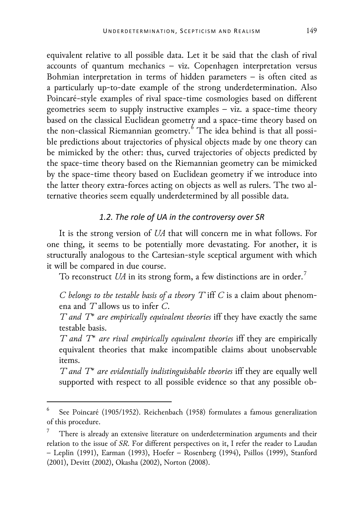equivalent relative to all possible data. Let it be said that the clash of rival accounts of quantum mechanics – viz. Copenhagen interpretation versus Bohmian interpretation in terms of hidden parameters – is often cited as a particularly up-to-date example of the strong underdetermination. Also Poincaré-style examples of rival space-time cosmologies based on different geometries seem to supply instructive examples – viz. a space-time theory based on the classical Euclidean geometry and a space-time theory based on the non-classical Riemannian geometry.<sup>[6](#page-4-0)</sup> The idea behind is that all possible predictions about trajectories of physical objects made by one theory can be mimicked by the other: thus, curved trajectories of objects predicted by the space-time theory based on the Riemannian geometry can be mimicked by the space-time theory based on Euclidean geometry if we introduce into the latter theory extra-forces acting on objects as well as rulers. The two alternative theories seem equally underdetermined by all possible data.

# *1.2. The role of UA in the controversy over SR*

It is the strong version of *UA* that will concern me in what follows. For one thing, it seems to be potentially more devastating. For another, it is structurally analogous to the Cartesian-style sceptical argument with which it will be compared in due course.

To reconstruct  $\mathit{U}\!A$  in its strong form, a few distinctions are in order.  $^7$  $^7$ 

*C belongs to the testable basis of a theory T* iff *C* is a claim about phenomena and *T* allows us to infer *C*.

*T and T\* are empirically equivalent theories* iff they have exactly the same testable basis.

*T and T\* are rival empirically equivalent theories* iff they are empirically equivalent theories that make incompatible claims about unobservable items.

*T and T\* are evidentially indistinguishable theories* iff they are equally well supported with respect to all possible evidence so that any possible ob-

<span id="page-4-0"></span> <sup>6</sup> See Poincaré (1905/1952). Reichenbach (1958) formulates a famous generalization of this procedure.

<span id="page-4-1"></span><sup>7</sup> There is already an extensive literature on underdetermination arguments and their relation to the issue of *SR*. For different perspectives on it, I refer the reader to Laudan – Leplin (1991), Earman (1993), Hoefer – Rosenberg (1994), Psillos (1999), Stanford (2001), Devitt (2002), Okasha (2002), Norton (2008).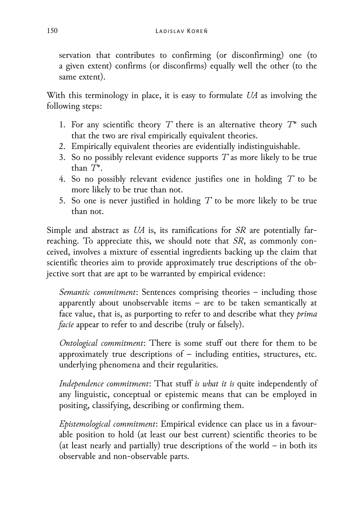servation that contributes to confirming (or disconfirming) one (to a given extent) confirms (or disconfirms) equally well the other (to the same extent).

With this terminology in place, it is easy to formulate *UA* as involving the following steps:

- 1. For any scientific theory *T* there is an alternative theory *T\** such that the two are rival empirically equivalent theories.
- 2. Empirically equivalent theories are evidentially indistinguishable.
- 3. So no possibly relevant evidence supports *T* as more likely to be true than *T\*.*
- 4. So no possibly relevant evidence justifies one in holding *T* to be more likely to be true than not.
- 5. So one is never justified in holding *T* to be more likely to be true than not.

Simple and abstract as *UA* is, its ramifications for *SR* are potentially farreaching. To appreciate this, we should note that *SR*, as commonly conceived, involves a mixture of essential ingredients backing up the claim that scientific theories aim to provide approximately true descriptions of the objective sort that are apt to be warranted by empirical evidence:

*Semantic commitment*: Sentences comprising theories – including those apparently about unobservable items – are to be taken semantically at face value, that is, as purporting to refer to and describe what they *prima facie* appear to refer to and describe (truly or falsely).

*Ontological commitment*: There is some stuff out there for them to be approximately true descriptions of – including entities, structures, etc. underlying phenomena and their regularities.

*Independence commitment*: That stuff *is what it is* quite independently of any linguistic, conceptual or epistemic means that can be employed in positing, classifying, describing or confirming them.

*Epistemological commitment*: Empirical evidence can place us in a favourable position to hold (at least our best current) scientific theories to be (at least nearly and partially) true descriptions of the world *–* in both its observable and non-observable parts.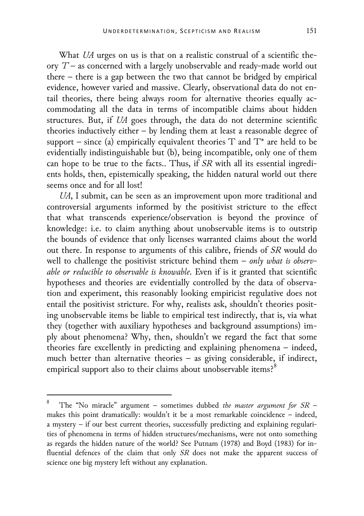What *UA* urges on us is that on a realistic construal of a scientific theory *T* – as concerned with a largely unobservable and ready-made world out there – there is a gap between the two that cannot be bridged by empirical evidence, however varied and massive. Clearly, observational data do not entail theories, there being always room for alternative theories equally accommodating all the data in terms of incompatible claims about hidden structures. But, if *UA* goes through, the data do not determine scientific theories inductively either – by lending them at least a reasonable degree of support – since (a) empirically equivalent theories  $T$  and  $T^*$  are held to be evidentially indistinguishable but (b), being incompatible, only one of them can hope to be true to the facts.. Thus, if *SR* with all its essential ingredients holds, then, epistemically speaking, the hidden natural world out there seems once and for all lost!

*UA*, I submit, can be seen as an improvement upon more traditional and controversial arguments informed by the positivist stricture to the effect that what transcends experience/observation is beyond the province of knowledge: i.e. to claim anything about unobservable items is to outstrip the bounds of evidence that only licenses warranted claims about the world out there. In response to arguments of this calibre, friends of *SR* would do well to challenge the positivist stricture behind them – *only what is observable or reducible to observable is knowable*. Even if is it granted that scientific hypotheses and theories are evidentially controlled by the data of observation and experiment, this reasonably looking empiricist regulative does not entail the positivist stricture. For why, realists ask, shouldn't theories positing unobservable items be liable to empirical test indirectly, that is, via what they (together with auxiliary hypotheses and background assumptions) imply about phenomena? Why, then, shouldn't we regard the fact that some theories fare excellently in predicting and explaining phenomena – indeed, much better than alternative theories – as giving considerable, if indirect, empirical support also to their claims about unobservable items?<sup>[8](#page-6-0)</sup>

<span id="page-6-0"></span> <sup>8</sup> The "No miracle" argument – sometimes dubbed *the master argument for SR* – makes this point dramatically: wouldn't it be a most remarkable coincidence – indeed, a mystery – if our best current theories, successfully predicting and explaining regularities of phenomena in terms of hidden structures/mechanisms, were not onto something as regards the hidden nature of the world? See Putnam (1978) and Boyd (1983) for influential defences of the claim that only *SR* does not make the apparent success of science one big mystery left without any explanation.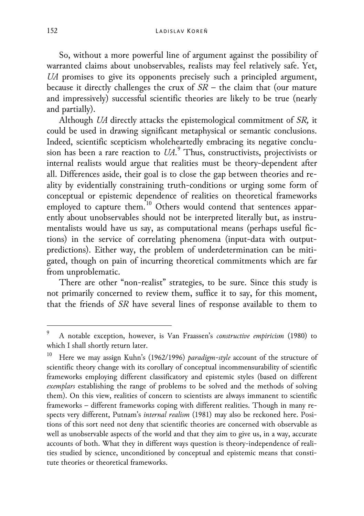So, without a more powerful line of argument against the possibility of warranted claims about unobservables, realists may feel relatively safe. Yet, *UA* promises to give its opponents precisely such a principled argument, because it directly challenges the crux of *SR* – the claim that (our mature and impressively) successful scientific theories are likely to be true (nearly and partially).

Although *UA* directly attacks the epistemological commitment of *SR,* it could be used in drawing significant metaphysical or semantic conclusions. Indeed, scientific scepticism wholeheartedly embracing its negative conclusion has been a rare reaction to *UA*. [9](#page-7-0) Thus, constructivists, projectivists or internal realists would argue that realities must be theory-dependent after all. Differences aside, their goal is to close the gap between theories and reality by evidentially constraining truth-conditions or urging some form of conceptual or epistemic dependence of realities on theoretical frameworks employed to capture them.<sup>[10](#page-7-1)</sup> Others would contend that sentences apparently about unobservables should not be interpreted literally but, as instrumentalists would have us say, as computational means (perhaps useful fictions) in the service of correlating phenomena (input-data with outputpredictions). Either way, the problem of underdetermination can be mitigated, though on pain of incurring theoretical commitments which are far from unproblematic.

There are other "non-realist" strategies, to be sure. Since this study is not primarily concerned to review them, suffice it to say, for this moment, that the friends of *SR* have several lines of response available to them to

<span id="page-7-0"></span> <sup>9</sup> A notable exception, however, is Van Fraassen's *constructive empiricism* (1980) to which I shall shortly return later.

<span id="page-7-1"></span><sup>10</sup> Here we may assign Kuhn's (1962/1996) *paradigm-style* account of the structure of scientific theory change with its corollary of conceptual incommensurability of scientific frameworks employing different classificatory and epistemic styles (based on different *exemplars* establishing the range of problems to be solved and the methods of solving them). On this view, realities of concern to scientists are always immanent to scientific frameworks – different frameworks coping with different realities. Though in many respects very different, Putnam's *internal realism* (1981) may also be reckoned here. Positions of this sort need not deny that scientific theories are concerned with observable as well as unobservable aspects of the world and that they aim to give us, in a way, accurate accounts of both. What they in different ways question is theory-independence of realities studied by science, unconditioned by conceptual and epistemic means that constitute theories or theoretical frameworks.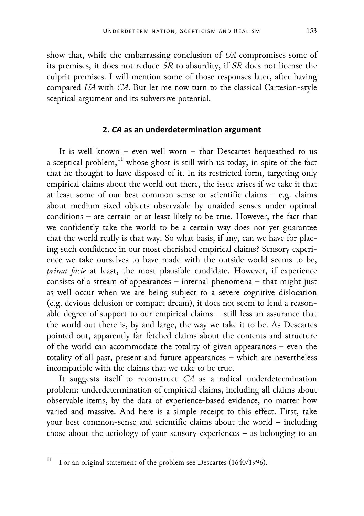show that, while the embarrassing conclusion of *UA* compromises some of its premises, it does not reduce *SR* to absurdity, if *SR* does not license the culprit premises. I will mention some of those responses later, after having compared *UA* with *CA*. But let me now turn to the classical Cartesian-style sceptical argument and its subversive potential.

### **2.** *CA* **as an underdetermination argument**

It is well known – even well worn – that Descartes bequeathed to us a sceptical problem, $^{\rm 11}$  $^{\rm 11}$  $^{\rm 11}$  whose ghost is still with us today, in spite of the fact that he thought to have disposed of it. In its restricted form, targeting only empirical claims about the world out there, the issue arises if we take it that at least some of our best common-sense or scientific claims – e.g. claims about medium-sized objects observable by unaided senses under optimal conditions – are certain or at least likely to be true. However, the fact that we confidently take the world to be a certain way does not yet guarantee that the world really is that way. So what basis, if any, can we have for placing such confidence in our most cherished empirical claims? Sensory experience we take ourselves to have made with the outside world seems to be, *prima facie* at least, the most plausible candidate. However, if experience consists of a stream of appearances – internal phenomena – that might just as well occur when we are being subject to a severe cognitive dislocation (e.g. devious delusion or compact dream), it does not seem to lend a reasonable degree of support to our empirical claims – still less an assurance that the world out there is, by and large, the way we take it to be. As Descartes pointed out, apparently far-fetched claims about the contents and structure of the world can accommodate the totality of given appearances – even the totality of all past, present and future appearances – which are nevertheless incompatible with the claims that we take to be true.

It suggests itself to reconstruct *CA* as a radical underdetermination problem: underdetermination of empirical claims, including all claims about observable items, by the data of experience-based evidence, no matter how varied and massive. And here is a simple receipt to this effect. First, take your best common-sense and scientific claims about the world – including those about the aetiology of your sensory experiences – as belonging to an

<span id="page-8-0"></span><sup>&</sup>lt;sup>11</sup> For an original statement of the problem see Descartes (1640/1996).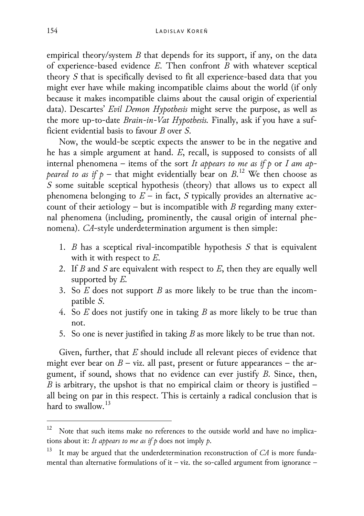empirical theory/system *B* that depends for its support, if any, on the data of experience-based evidence *E*. Then confront *B* with whatever sceptical theory *S* that is specifically devised to fit all experience-based data that you might ever have while making incompatible claims about the world (if only because it makes incompatible claims about the causal origin of experiential data). Descartes' *Evil Demon Hypothesis* might serve the purpose, as well as the more up-to-date *Brain-in-Vat Hypothesis.* Finally, ask if you have a sufficient evidential basis to favour *B* over *S*.

Now, the would-be sceptic expects the answer to be in the negative and he has a simple argument at hand. *E*, recall, is supposed to consists of all internal phenomena – items of the sort *It appears to me as if p* or *I am appeared to as if*  $p$  – that might evidentially bear on  $B$ .<sup>[12](#page-9-0)</sup> We then choose as *S* some suitable sceptical hypothesis (theory) that allows us to expect all phenomena belonging to  $E$  – in fact,  $S$  typically provides an alternative account of their aetiology – but is incompatible with *B* regarding many external phenomena (including, prominently, the causal origin of internal phenomena). *CA*-style underdetermination argument is then simple:

- 1. *B* has a sceptical rival-incompatible hypothesis *S* that is equivalent with it with respect to *E*.
- 2. If *B* and *S* are equivalent with respect to *E*, then they are equally well supported by *E.*
- 3. So *E* does not support *B* as more likely to be true than the incompatible *S*.
- 4. So *E* does not justify one in taking *B* as more likely to be true than not.
- 5. So one is never justified in taking *B* as more likely to be true than not.

Given, further, that *E* should include all relevant pieces of evidence that might ever bear on  $B$  – viz. all past, present or future appearances – the argument, if sound, shows that no evidence can ever justify *B*. Since, then, *B* is arbitrary, the upshot is that no empirical claim or theory is justified – all being on par in this respect. This is certainly a radical conclusion that is hard to swallow. [13](#page-9-1)

<span id="page-9-0"></span><sup>&</sup>lt;sup>12</sup> Note that such items make no references to the outside world and have no implications about it: *It appears to me as if p* does not imply *p*.

<span id="page-9-1"></span>It may be argued that the underdetermination reconstruction of *CA* is more fundamental than alternative formulations of it – viz. the so-called argument from ignorance –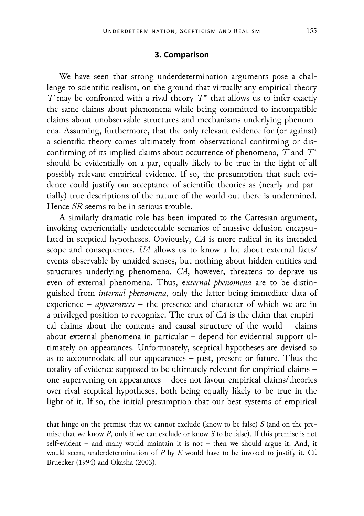## **3. Comparison**

We have seen that strong underdetermination arguments pose a challenge to scientific realism, on the ground that virtually any empirical theory *T* may be confronted with a rival theory *T\** that allows us to infer exactly the same claims about phenomena while being committed to incompatible claims about unobservable structures and mechanisms underlying phenomena. Assuming, furthermore, that the only relevant evidence for (or against) a scientific theory comes ultimately from observational confirming or disconfirming of its implied claims about occurrence of phenomena, *T* and *T\** should be evidentially on a par, equally likely to be true in the light of all possibly relevant empirical evidence. If so, the presumption that such evidence could justify our acceptance of scientific theories as (nearly and partially) true descriptions of the nature of the world out there is undermined. Hence *SR* seems to be in serious trouble.

A similarly dramatic role has been imputed to the Cartesian argument, invoking experientially undetectable scenarios of massive delusion encapsulated in sceptical hypotheses. Obviously, *CA* is more radical in its intended scope and consequences. *UA* allows us to know a lot about external facts/ events observable by unaided senses, but nothing about hidden entities and structures underlying phenomena. *CA*, however, threatens to deprave us even of external phenomena. Thus, e*xternal phenomena* are to be distinguished from *internal phenomena*, only the latter being immediate data of experience – *appearances* – the presence and character of which we are in a privileged position to recognize. The crux of *CA* is the claim that empirical claims about the contents and causal structure of the world – claims about external phenomena in particular – depend for evidential support ultimately on appearances. Unfortunately, sceptical hypotheses are devised so as to accommodate all our appearances – past, present or future. Thus the totality of evidence supposed to be ultimately relevant for empirical claims – one supervening on appearances – does not favour empirical claims/theories over rival sceptical hypotheses, both being equally likely to be true in the light of it. If so, the initial presumption that our best systems of empirical

j

that hinge on the premise that we cannot exclude (know to be false) *S* (and on the premise that we know *P*, only if we can exclude or know *S* to be false). If this premise is not self-evident – and many would maintain it is not – then we should argue it. And, it would seem, underdetermination of *P* by *E* would have to be invoked to justify it. Cf. Bruecker (1994) and Okasha (2003).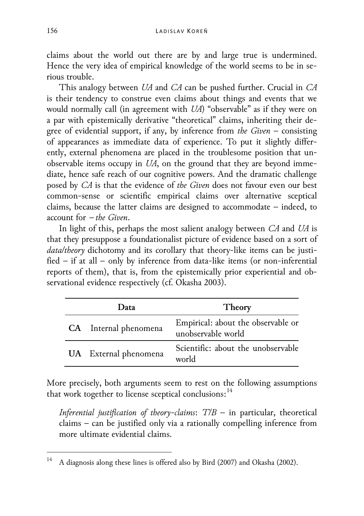claims about the world out there are by and large true is undermined. Hence the very idea of empirical knowledge of the world seems to be in serious trouble.

This analogy between *UA* and *CA* can be pushed further. Crucial in *CA* is their tendency to construe even claims about things and events that we would normally call (in agreement with *UA*) "observable" as if they were on a par with epistemically derivative "theoretical" claims, inheriting their degree of evidential support, if any, by inference from *the Given* – consisting of appearances as immediate data of experience. To put it slightly differently, external phenomena are placed in the troublesome position that unobservable items occupy in *UA*, on the ground that they are beyond immediate, hence safe reach of our cognitive powers. And the dramatic challenge posed by *CA* is that the evidence of *the Given* does not favour even our best common-sense or scientific empirical claims over alternative sceptical claims, because the latter claims are designed to accommodate – indeed, to account for − *the Given*.

In light of this, perhaps the most salient analogy between *CA* and *UA* is that they presuppose a foundationalist picture of evidence based on a sort of *data/theory* dichotomy and its corollary that theory-like items can be justified – if at all – only by inference from data-like items (or non-inferential reports of them), that is, from the epistemically prior experiential and observational evidence respectively (cf. Okasha 2003).

| 1) ata                | Theory                                                   |
|-----------------------|----------------------------------------------------------|
| CA Internal phenomena | Empirical: about the observable or<br>unobservable world |
| UA External phenomena | Scientific: about the unobservable<br>world              |

More precisely, both arguments seem to rest on the following assumptions that work together to license sceptical conclusions:<sup>[14](#page-11-0)</sup>

*Inferential justification of theory-claims*: *T/B* – in particular, theoretical claims – can be justified only via a rationally compelling inference from more ultimate evidential claims.

<span id="page-11-0"></span><sup>&</sup>lt;sup>14</sup> A diagnosis along these lines is offered also by Bird (2007) and Okasha (2002).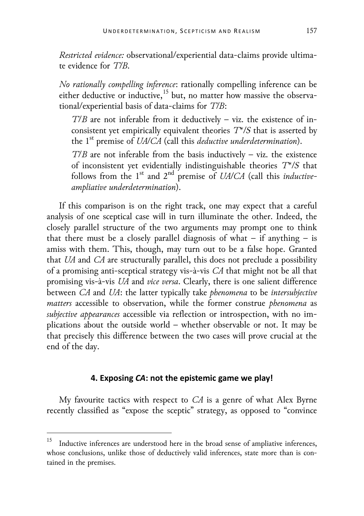*Restricted evidence:* observational/experiential data-claims provide ultimate evidence for *T/B*.

*No rationally compelling inference*: rationally compelling inference can be either deductive or inductive,<sup>[15](#page-12-0)</sup> but, no matter how massive the observational/experiential basis of data-claims for *T/B*:

*T*/*B* are not inferable from it deductively – viz. the existence of inconsistent yet empirically equivalent theories *T\*/S* that is asserted by the 1<sup>st</sup> premise of *UA/CA* (call this *deductive underdetermination*).

*T*/*B* are not inferable from the basis inductively – viz. the existence of inconsistent yet evidentially indistinguishable theories *T\*/S* that follows from the 1st and 2nd premise of *UA/CA* (call this *inductiveampliative underdetermination*).

If this comparison is on the right track, one may expect that a careful analysis of one sceptical case will in turn illuminate the other. Indeed, the closely parallel structure of the two arguments may prompt one to think that there must be a closely parallel diagnosis of what  $-$  if anything  $-$  is amiss with them. This, though, may turn out to be a false hope. Granted that *UA* and *CA* are structurally parallel, this does not preclude a possibility of a promising anti-sceptical strategy vis-à-vis *CA* that might not be all that promising vis-à-vis *UA* and *vice versa*. Clearly, there is one salient difference between *CA* and *UA*: the latter typically take *phenomena* to be *intersubjective matters* accessible to observation, while the former construe *phenomena* as *subjective appearances* accessible via reflection or introspection, with no implications about the outside world – whether observable or not. It may be that precisely this difference between the two cases will prove crucial at the end of the day.

## **4. Exposing** *CA***: not the epistemic game we play!**

My favourite tactics with respect to *CA* is a genre of what Alex Byrne recently classified as "expose the sceptic" strategy, as opposed to "convince

<span id="page-12-0"></span> <sup>15</sup> Inductive inferences are understood here in the broad sense of ampliative inferences, whose conclusions, unlike those of deductively valid inferences, state more than is contained in the premises.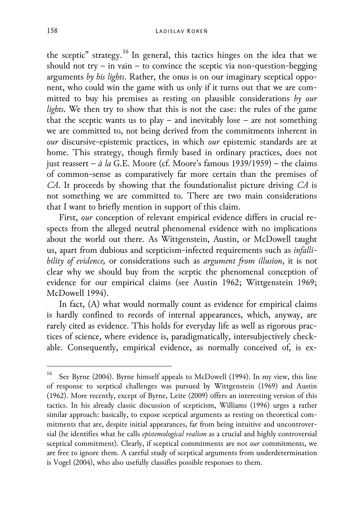the sceptic" strategy.<sup>[16](#page-13-0)</sup> In general, this tactics hinges on the idea that we should not  $try - in vain - to convince the seetic via non-question-begging$ arguments *by his lights*. Rather, the onus is on our imaginary sceptical opponent, who could win the game with us only if it turns out that we are committed to buy his premises as resting on plausible considerations *by our lights*. We then try to show that this is not the case: the rules of the game that the sceptic wants us to play – and inevitably lose – are not something we are committed to, not being derived from the commitments inherent in *our* discursive-epistemic practices, in which *our* epistemic standards are at home. This strategy, though firmly based in ordinary practices, does not just reassert – *à la* G.E. Moore (cf. Moore's famous 1939/1959) – the claims of common-sense as comparatively far more certain than the premises of *CA*. It proceeds by showing that the foundationalist picture driving *CA* is not something we are committed to. There are two main considerations that I want to briefly mention in support of this claim.

First, *our* conception of relevant empirical evidence differs in crucial respects from the alleged neutral phenomenal evidence with no implications about the world out there. As Wittgenstein, Austin, or McDowell taught us, apart from dubious and scepticism-infected requirements such as *infallibility of evidence,* or considerations such as *argument from illusion*, it is not clear why we should buy from the sceptic the phenomenal conception of evidence for our empirical claims (see Austin 1962; Wittgenstein 1969; McDowell 1994).

In fact, (A) what would normally count as evidence for empirical claims is hardly confined to records of internal appearances, which, anyway, are rarely cited as evidence. This holds for everyday life as well as rigorous practices of science, where evidence is, paradigmatically, intersubjectively checkable. Consequently, empirical evidence, as normally conceived of, is ex-

<span id="page-13-0"></span>See Byrne (2004). Byrne himself appeals to McDowell (1994). In my view, this line of response to sceptical challenges was pursued by Wittgenstein (1969) and Austin (1962). More recently, except of Byrne, Leite (2009) offers an interesting version of this tactics. In his already classic discussion of scepticism, Williams (1996) urges a rather similar approach: basically, to expose sceptical arguments as resting on theoretical commitments that are, despite initial appearances, far from being intuitive and uncontroversial (he identifies what he calls *epistemological realism* as a crucial and highly controversial sceptical commitment). Clearly, if sceptical commitments are not *our* commitments, we are free to ignore them. A careful study of sceptical arguments from underdetermination is Vogel (2004), who also usefully classifies possible responses to them.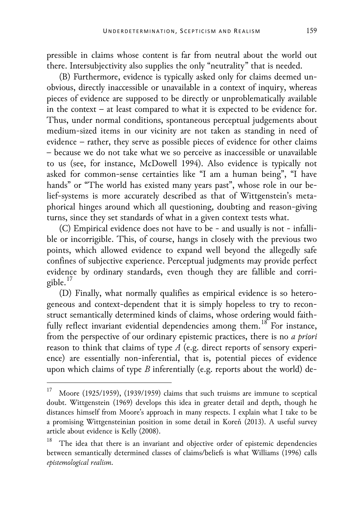pressible in claims whose content is far from neutral about the world out there. Intersubjectivity also supplies the only "neutrality" that is needed.

(B) Furthermore, evidence is typically asked only for claims deemed unobvious, directly inaccessible or unavailable in a context of inquiry, whereas pieces of evidence are supposed to be directly or unproblematically available in the context – at least compared to what it is expected to be evidence for. Thus, under normal conditions, spontaneous perceptual judgements about medium-sized items in our vicinity are not taken as standing in need of evidence – rather, they serve as possible pieces of evidence for other claims – because we do not take what we so perceive as inaccessible or unavailable to us (see, for instance, McDowell 1994). Also evidence is typically not asked for common-sense certainties like "I am a human being", "I have hands" or "The world has existed many years past", whose role in our belief-systems is more accurately described as that of Wittgenstein's metaphorical hinges around which all questioning, doubting and reason-giving turns, since they set standards of what in a given context tests what.

(C) Empirical evidence does not have to be - and usually is not - infallible or incorrigible. This, of course, hangs in closely with the previous two points, which allowed evidence to expand well beyond the allegedly safe confines of subjective experience. Perceptual judgments may provide perfect evidence by ordinary standards, even though they are fallible and corrigible. [17](#page-14-0)

(D) Finally, what normally qualifies as empirical evidence is so heterogeneous and context-dependent that it is simply hopeless to try to reconstruct semantically determined kinds of claims, whose ordering would faith-fully reflect invariant evidential dependencies among them.<sup>[18](#page-14-1)</sup> For instance, from the perspective of our ordinary epistemic practices, there is no *a priori* reason to think that claims of type *A* (e.g. direct reports of sensory experience) are essentially non-inferential, that is, potential pieces of evidence upon which claims of type *B* inferentially (e.g. reports about the world) de-

<span id="page-14-0"></span><sup>&</sup>lt;sup>17</sup> Moore (1925/1959), (1939/1959) claims that such truisms are immune to sceptical doubt. Wittgenstein (1969) develops this idea in greater detail and depth, though he distances himself from Moore's approach in many respects. I explain what I take to be a promising Wittgensteinian position in some detail in Koreň (2013). A useful survey article about evidence is Kelly (2008).

<span id="page-14-1"></span>The idea that there is an invariant and objective order of epistemic dependencies between semantically determined classes of claims/beliefs is what Williams (1996) calls *epistemological realism*.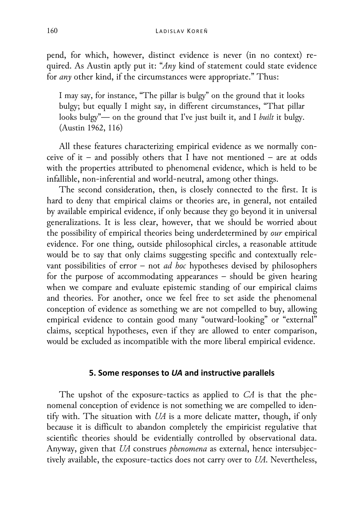pend, for which, however, distinct evidence is never (in no context) required. As Austin aptly put it: "*Any* kind of statement could state evidence for *any* other kind, if the circumstances were appropriate." Thus:

I may say, for instance, "The pillar is bulgy" on the ground that it looks bulgy; but equally I might say, in different circumstances, "That pillar looks bulgy"— on the ground that I've just built it, and I *built* it bulgy. (Austin 1962, 116)

All these features characterizing empirical evidence as we normally conceive of it – and possibly others that I have not mentioned – are at odds with the properties attributed to phenomenal evidence, which is held to be infallible, non-inferential and world-neutral, among other things.

The second consideration, then, is closely connected to the first. It is hard to deny that empirical claims or theories are, in general, not entailed by available empirical evidence, if only because they go beyond it in universal generalizations. It is less clear, however, that we should be worried about the possibility of empirical theories being underdetermined by *our* empirical evidence. For one thing, outside philosophical circles, a reasonable attitude would be to say that only claims suggesting specific and contextually relevant possibilities of error – not *ad hoc* hypotheses devised by philosophers for the purpose of accommodating appearances – should be given hearing when we compare and evaluate epistemic standing of our empirical claims and theories. For another, once we feel free to set aside the phenomenal conception of evidence as something we are not compelled to buy, allowing empirical evidence to contain good many "outward-looking" or "external" claims, sceptical hypotheses, even if they are allowed to enter comparison, would be excluded as incompatible with the more liberal empirical evidence.

## **5. Some responses to** *UA* **and instructive parallels**

The upshot of the exposure-tactics as applied to *CA* is that the phenomenal conception of evidence is not something we are compelled to identify with. The situation with *UA* is a more delicate matter, though, if only because it is difficult to abandon completely the empiricist regulative that scientific theories should be evidentially controlled by observational data. Anyway, given that *UA* construes *phenomena* as external, hence intersubjectively available, the exposure-tactics does not carry over to *UA*. Nevertheless,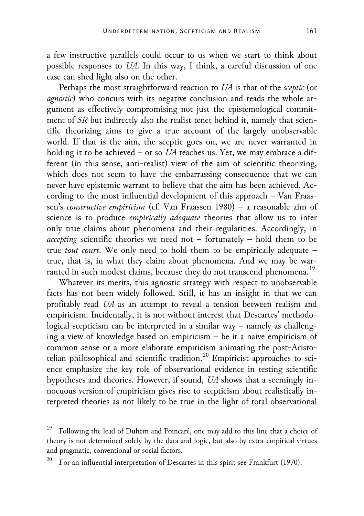a few instructive parallels could occur to us when we start to think about possible responses to *UA*. In this way, I think, a careful discussion of one case can shed light also on the other.

Perhaps the most straightforward reaction to *UA* is that of the *sceptic* (or *agnostic*) who concurs with its negative conclusion and reads the whole argument as effectively compromising not just the epistemological commitment of *SR* but indirectly also the realist tenet behind it, namely that scientific theorizing aims to give a true account of the largely unobservable world. If that is the aim, the sceptic goes on, we are never warranted in holding it to be achieved – or so *UA* teaches us. Yet, we may embrace a different (in this sense, anti-realist) view of the aim of scientific theorizing, which does not seem to have the embarrassing consequence that we can never have epistemic warrant to believe that the aim has been achieved. According to the most influential development of this approach – Van Fraassen's *constructive empiricism* (cf. Van Fraassen 1980) – a reasonable aim of science is to produce *empirically adequate* theories that allow us to infer only true claims about phenomena and their regularities. Accordingly, in *accepting* scientific theories we need not – fortunately – hold them to be true *tout court*. We only need to hold them to be empirically adequate – true, that is, in what they claim about phenomena. And we may be war-ranted in such modest claims, because they do not transcend phenomena.<sup>[19](#page-16-0)</sup>

Whatever its merits, this agnostic strategy with respect to unobservable facts has not been widely followed. Still, it has an insight in that we can profitably read *UA* as an attempt to reveal a tension between realism and empiricism. Incidentally, it is not without interest that Descartes' methodological scepticism can be interpreted in a similar way – namely as challenging a view of knowledge based on empiricism – be it a naive empiricism of common sense or a more elaborate empiricism animating the post-Aristo-telian philosophical and scientific tradition.<sup>[20](#page-16-1)</sup> Empiricist approaches to science emphasize the key role of observational evidence in testing scientific hypotheses and theories. However, if sound, *UA* shows that a seemingly innocuous version of empiricism gives rise to scepticism about realistically interpreted theories as not likely to be true in the light of total observational

<span id="page-16-0"></span> <sup>19</sup> Following the lead of Duhem and Poincaré, one may add to this line that a choice of theory is not determined solely by the data and logic, but also by extra-empirical virtues and pragmatic, conventional or social factors.

<span id="page-16-1"></span><sup>&</sup>lt;sup>20</sup> For an influential interpretation of Descartes in this spirit see Frankfurt (1970).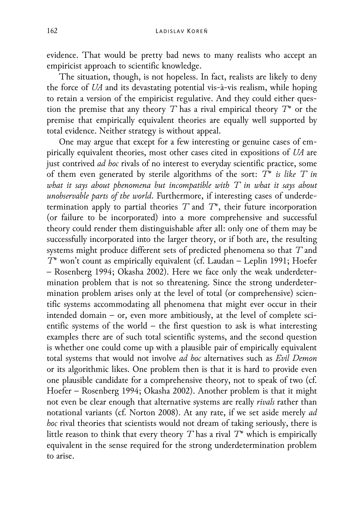evidence. That would be pretty bad news to many realists who accept an empiricist approach to scientific knowledge.

The situation, though, is not hopeless. In fact, realists are likely to deny the force of *UA* and its devastating potential vis-à-vis realism, while hoping to retain a version of the empiricist regulative. And they could either question the premise that any theory *T* has a rival empirical theory *T\** or the premise that empirically equivalent theories are equally well supported by total evidence. Neither strategy is without appeal.

One may argue that except for a few interesting or genuine cases of empirically equivalent theories, most other cases cited in expositions of *UA* are just contrived *ad hoc* rivals of no interest to everyday scientific practice, some of them even generated by sterile algorithms of the sort: *T\* is like T in what it says about phenomena but incompatible with T in what it says about unobservable parts of the world*. Furthermore, if interesting cases of underdetermination apply to partial theories *T* and *T\**, their future incorporation (or failure to be incorporated) into a more comprehensive and successful theory could render them distinguishable after all: only one of them may be successfully incorporated into the larger theory, or if both are, the resulting systems might produce different sets of predicted phenomena so that *T* and *T\** won't count as empirically equivalent (cf. Laudan – Leplin 1991; Hoefer – Rosenberg 1994; Okasha 2002). Here we face only the weak underdetermination problem that is not so threatening. Since the strong underdetermination problem arises only at the level of total (or comprehensive) scientific systems accommodating all phenomena that might ever occur in their intended domain – or, even more ambitiously, at the level of complete scientific systems of the world – the first question to ask is what interesting examples there are of such total scientific systems, and the second question is whether one could come up with a plausible pair of empirically equivalent total systems that would not involve *ad hoc* alternatives such as *Evil Demon* or its algorithmic likes. One problem then is that it is hard to provide even one plausible candidate for a comprehensive theory, not to speak of two (cf. Hoefer – Rosenberg 1994; Okasha 2002). Another problem is that it might not even be clear enough that alternative systems are really *rivals* rather than notational variants (cf. Norton 2008). At any rate, if we set aside merely *ad hoc* rival theories that scientists would not dream of taking seriously, there is little reason to think that every theory *T* has a rival *T\** which is empirically equivalent in the sense required for the strong underdetermination problem to arise.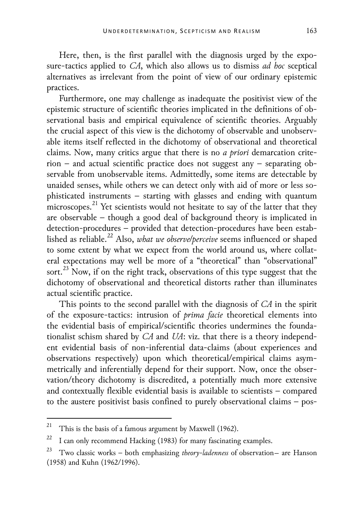Here, then, is the first parallel with the diagnosis urged by the exposure-tactics applied to *CA*, which also allows us to dismiss *ad hoc* sceptical alternatives as irrelevant from the point of view of our ordinary epistemic practices.

Furthermore, one may challenge as inadequate the positivist view of the epistemic structure of scientific theories implicated in the definitions of observational basis and empirical equivalence of scientific theories. Arguably the crucial aspect of this view is the dichotomy of observable and unobservable items itself reflected in the dichotomy of observational and theoretical claims. Now, many critics argue that there is no *a priori* demarcation criterion – and actual scientific practice does not suggest any – separating observable from unobservable items. Admittedly, some items are detectable by unaided senses, while others we can detect only with aid of more or less sophisticated instruments – starting with glasses and ending with quantum microscopes.<sup>[21](#page-18-0)</sup> Yet scientists would not hesitate to say of the latter that they are observable – though a good deal of background theory is implicated in detection-procedures – provided that detection-procedures have been estab-lished as reliable.<sup>[22](#page-18-1)</sup> Also, *what we observe/perceive* seems influenced or shaped to some extent by what we expect from the world around us, where collateral expectations may well be more of a "theoretical" than "observational" sort.<sup>[23](#page-18-2)</sup> Now, if on the right track, observations of this type suggest that the dichotomy of observational and theoretical distorts rather than illuminates actual scientific practice.

This points to the second parallel with the diagnosis of *CA* in the spirit of the exposure-tactics: intrusion of *prima facie* theoretical elements into the evidential basis of empirical/scientific theories undermines the foundationalist schism shared by *CA* and *UA*: viz. that there is a theory independent evidential basis of non-inferential data-claims (about experiences and observations respectively) upon which theoretical/empirical claims asymmetrically and inferentially depend for their support. Now, once the observation/theory dichotomy is discredited, a potentially much more extensive and contextually flexible evidential basis is available to scientists – compared to the austere positivist basis confined to purely observational claims – pos-

<span id="page-18-0"></span><sup>&</sup>lt;sup>21</sup> This is the basis of a famous argument by Maxwell (1962).

<span id="page-18-1"></span><sup>&</sup>lt;sup>22</sup> I can only recommend Hacking (1983) for many fascinating examples.

<span id="page-18-2"></span>Two classic works – both emphasizing *theory-ladenness* of observation- are Hanson (1958) and Kuhn (1962/1996).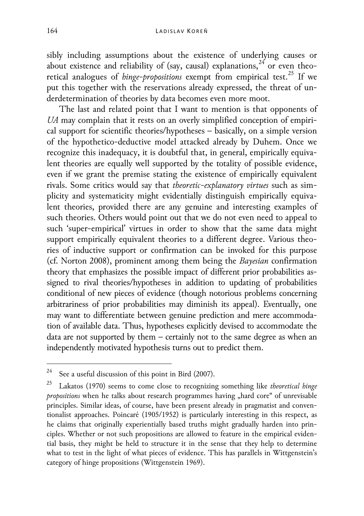sibly including assumptions about the existence of underlying causes or about existence and reliability of (say, causal) explanations,  $24$  or even theoretical analogues of *hinge-propositions* exempt from empirical test.<sup>[25](#page-19-1)</sup> If we put this together with the reservations already expressed, the threat of underdetermination of theories by data becomes even more moot.

The last and related point that I want to mention is that opponents of *UA* may complain that it rests on an overly simplified conception of empirical support for scientific theories/hypotheses – basically, on a simple version of the hypothetico-deductive model attacked already by Duhem. Once we recognize this inadequacy, it is doubtful that, in general, empirically equivalent theories are equally well supported by the totality of possible evidence, even if we grant the premise stating the existence of empirically equivalent rivals. Some critics would say that *theoretic-explanatory virtues* such as simplicity and systematicity might evidentially distinguish empirically equivalent theories, provided there are any genuine and interesting examples of such theories. Others would point out that we do not even need to appeal to such 'super-empirical' virtues in order to show that the same data might support empirically equivalent theories to a different degree. Various theories of inductive support or confirmation can be invoked for this purpose (cf. Norton 2008), prominent among them being the *Bayesian* confirmation theory that emphasizes the possible impact of different prior probabilities assigned to rival theories/hypotheses in addition to updating of probabilities conditional of new pieces of evidence (though notorious problems concerning arbitrariness of prior probabilities may diminish its appeal). Eventually, one may want to differentiate between genuine prediction and mere accommodation of available data. Thus, hypotheses explicitly devised to accommodate the data are not supported by them – certainly not to the same degree as when an independently motivated hypothesis turns out to predict them.

<span id="page-19-0"></span><sup>&</sup>lt;sup>24</sup> See a useful discussion of this point in Bird (2007).

<span id="page-19-1"></span><sup>25</sup> Lakatos (1970) seems to come close to recognizing something like *theoretical hinge propositions* when he talks about research programmes having "hard core" of unrevisable principles. Similar ideas, of course, have been present already in pragmatist and conventionalist approaches. Poincaré (1905/1952) is particularly interesting in this respect, as he claims that originally experientially based truths might gradually harden into principles. Whether or not such propositions are allowed to feature in the empirical evidential basis, they might be held to structure it in the sense that they help to determine what to test in the light of what pieces of evidence. This has parallels in Wittgenstein's category of hinge propositions (Wittgenstein 1969).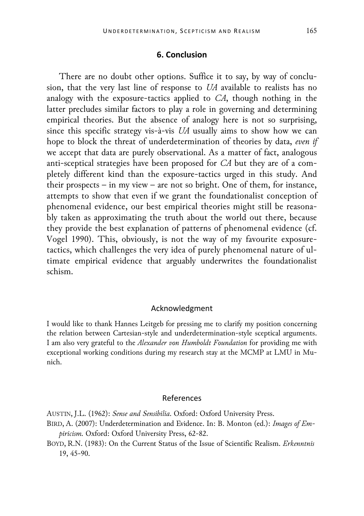### **6. Conclusion**

There are no doubt other options. Suffice it to say, by way of conclusion, that the very last line of response to *UA* available to realists has no analogy with the exposure-tactics applied to *CA*, though nothing in the latter precludes similar factors to play a role in governing and determining empirical theories. But the absence of analogy here is not so surprising, since this specific strategy vis-à-vis *UA* usually aims to show how we can hope to block the threat of underdetermination of theories by data, *even if* we accept that data are purely observational. As a matter of fact, analogous anti-sceptical strategies have been proposed for *CA* but they are of a completely different kind than the exposure-tactics urged in this study. And their prospects − in my view − are not so bright. One of them, for instance, attempts to show that even if we grant the foundationalist conception of phenomenal evidence, our best empirical theories might still be reasonably taken as approximating the truth about the world out there, because they provide the best explanation of patterns of phenomenal evidence (cf. Vogel 1990). This, obviously, is not the way of my favourite exposuretactics, which challenges the very idea of purely phenomenal nature of ultimate empirical evidence that arguably underwrites the foundationalist schism.

### Acknowledgment

I would like to thank Hannes Leitgeb for pressing me to clarify my position concerning the relation between Cartesian-style and underdetermination-style sceptical arguments. I am also very grateful to the *Alexander von Humboldt Foundation* for providing me with exceptional working conditions during my research stay at the MCMP at LMU in Munich.

# References

- AUSTIN, J.L. (1962): *Sense and Sensibilia*. Oxford: Oxford University Press.
- BIRD, A. (2007): Underdetermination and Evidence. In: B. Monton (ed.): *Images of Empiricism.* Oxford: Oxford University Press, 62-82.
- BOYD, R.N. (1983): On the Current Status of the Issue of Scientific Realism. *Erkenntnis* 19, 45-90.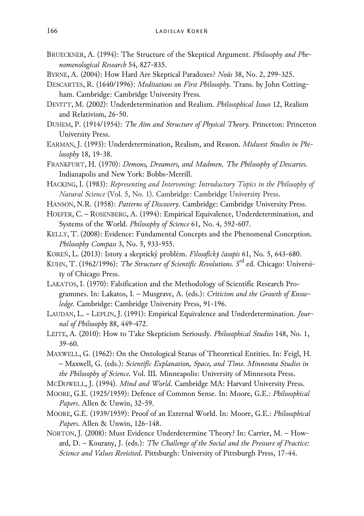- BRUECKNER, A. (1994): The Structure of the Skeptical Argument. *Philosophy and Phenomenological Research* 54, 827-835.
- BYRNE, A. (2004): How Hard Are Skeptical Paradoxes? *Noûs* 38, No. 2, 299-325.
- DESCARTES, R. (1640/1996): *Meditations on First Philosophy.* Trans. by John Cottingham. Cambridge: Cambridge University Press.
- DEVITT, M. (2002): Underdetermination and Realism. *Philosophical Issues* 12, Realism and Relativism, 26-50.
- DUHEM, P. (1914/1954): *The Aim and Structure of Physical Theory.* Princeton: Princeton University Press.
- EARMAN, J. (1993): Underdetermination, Realism, and Reason. *Midwest Studies in Philosophy* 18, 19-38.
- FRANKFURT, H. (1970): *Demons, Dreamers, and Madmen. The Philosophy of Descartes*. Indianapolis and New York: Bobbs-Merrill.
- HACKING, I. (1983): *Representing and Intervening: Introductory Topics in the Philosophy of Natural Science* (Vol. 5, No. 1). Cambridge: Cambridge University Press.
- HANSON, N.R. (1958): *Patterns of Discovery*. Cambridge: Cambridge University Press.
- HOEFER, C. ROSENBERG, A. (1994): Empirical Equivalence, Underdetermination, and Systems of the World. *Philosophy of Science* 61, No. 4, 592-607.
- KELLY, T. (2008): Evidence: Fundamental Concepts and the Phenomenal Conception. *Philosophy Compass* 3, No. 5, 933-955.
- KOREŇ, L. (2013): Istoty a skeptický problém. *Filosofický časopis* 61, No. 5, 643-680.
- KUHN, T. (1962/1996): *The Structure of Scientific Revolutions*. 3<sup>rd</sup> ed. Chicago: University of Chicago Press.
- LAKATOS, I. (1970): Falsification and the Methodology of Scientific Research Programmes. In: Lakatos, I. – Musgrave, A. (eds.): *Criticism and the Growth of Knowledge.* Cambridge: Cambridge University Press, 91-196.
- LAUDAN, L. LEPLIN, J. (1991): Empirical Equivalence and Underdetermination. *Journal of Philosophy* 88, 449-472.
- LEITE, A. (2010): How to Take Skepticism Seriously. *Philosophical Studies* 148, No. 1, 39-60.
- MAXWELL, G. (1962): On the Ontological Status of Theoretical Entities. In: Feigl, H. – Maxwell, G. (eds.): *Scientific Explanation, Space, and Time. Minnesota Studies in the Philosophy of Science.* Vol. III*.* Minneapolis: University of Minnesota Press.
- MCDOWELL, J. (1994). *Mind and World*. Cambridge MA: Harvard University Press.
- MOORE, G.E. (1925/1959): Defence of Common Sense. In: Moore, G.E.: *Philosophical Papers*. Allen & Unwin, 32-59.
- MOORE, G.E. (1939/1959): Proof of an External World. In: Moore, G.E.: *Philosophical Papers*. Allen & Unwin, 126-148.
- NORTON, J. (2008): Must Evidence Underdetermine Theory? In: Carrier, M. Howard, D. – Kourany, J. (eds.): *The Challenge of the Social and the Pressure of Practice: Science and Values Revisited*. Pittsburgh: University of Pittsburgh Press, 17-44.